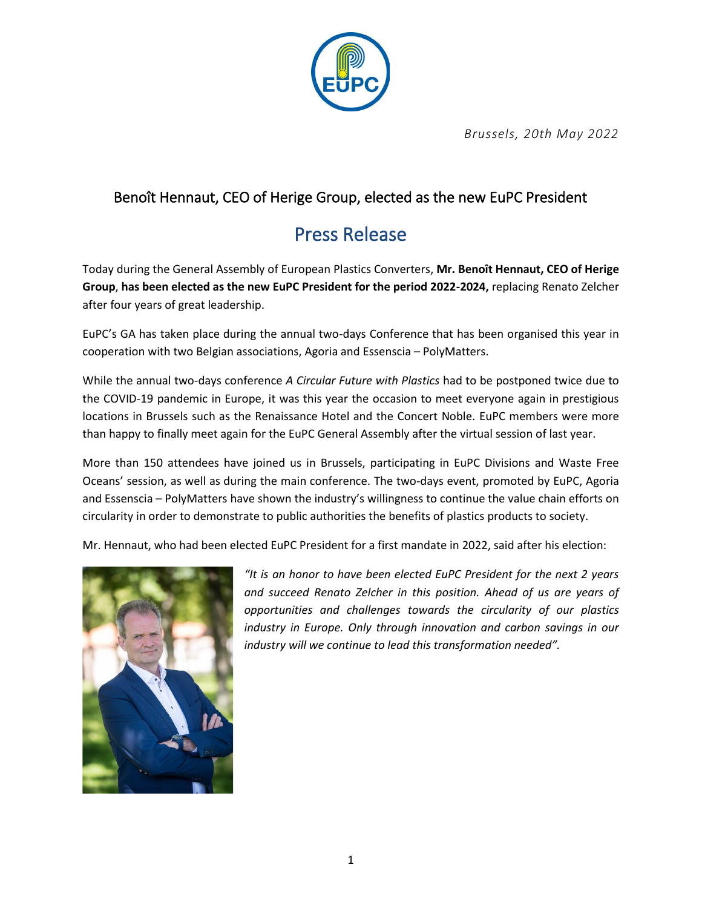

*Brussels, 20th May 2022*

## Benoît Hennaut, CEO of Herige Group, elected as the new EuPC President

## Press Release

Today during the General Assembly of European Plastics Converters, **Mr. Benoît Hennaut, CEO of Herige Group**, **has been elected as the new EuPC President for the period 2022-2024,** replacing Renato Zelcher after four years of great leadership.

EuPC's GA has taken place during the annual two-days Conference that has been organised this year in cooperation with two Belgian associations, Agoria and Essenscia – PolyMatters.

While the annual two-days conference *A Circular Future with Plastics* had to be postponed twice due to the COVID-19 pandemic in Europe, it was this year the occasion to meet everyone again in prestigious locations in Brussels such as the Renaissance Hotel and the Concert Noble. EuPC members were more than happy to finally meet again for the EuPC General Assembly after the virtual session of last year.

More than 150 attendees have joined us in Brussels, participating in EuPC Divisions and Waste Free Oceans' session, as well as during the main conference. The two-days event, promoted by EuPC, Agoria and Essenscia – PolyMatters have shown the industry's willingness to continue the value chain efforts on circularity in order to demonstrate to public authorities the benefits of plastics products to society.

Mr. Hennaut, who had been elected EuPC President for a first mandate in 2022, said after his election:



*"It is an honor to have been elected EuPC President for the next 2 years and succeed Renato Zelcher in this position. Ahead of us are years of opportunities and challenges towards the circularity of our plastics industry in Europe. Only through innovation and carbon savings in our industry will we continue to lead this transformation needed".*